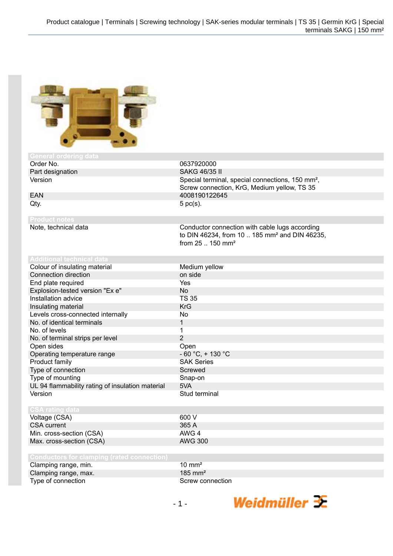

| <b>OVINTAL VIMVITIM MAN</b> |
|-----------------------------|
| Order No.                   |
| Part designation            |
| Version                     |

**Product notes**

**Additional technical data**

0637920000 **SAKG 46/35 II** Special terminal, special connections, 150 mm<sup>2</sup>, Screw connection, KrG, Medium yellow, TS 35 EAN 4008190122645  $Qty.$  5 pc(s).

> Conductor connection with cable lugs according to DIN 46234, from 10 .. 185 mm² and DIN 46235, from 25 .. 150 mm²

| AGAILIONAI LUUNNIUUAI AALU                       |                      |
|--------------------------------------------------|----------------------|
| Colour of insulating material                    | Medium yellow        |
| Connection direction                             | on side              |
| End plate required                               | Yes                  |
| Explosion-tested version "Ex e"                  | No.                  |
| Installation advice                              | <b>TS 35</b>         |
| Insulating material                              | <b>KrG</b>           |
| Levels cross-connected internally                | No                   |
| No. of identical terminals                       | 1                    |
| No. of levels                                    | 1                    |
| No. of terminal strips per level                 | 2                    |
| Open sides                                       | Open                 |
| Operating temperature range                      | $-60 °C$ , $+130 °C$ |
| Product family                                   | <b>SAK Series</b>    |
| Type of connection                               | Screwed              |
| Type of mounting                                 | Snap-on              |
| UL 94 flammability rating of insulation material | 5VA                  |
| Version                                          | Stud terminal        |
|                                                  |                      |
| <b>CSA rating data</b>                           |                      |
| Voltage (CSA)                                    | 600 V                |
| <b>CSA</b> current                               | 365 A                |
| Min. cross-section (CSA)                         | AWG 4                |
| Max. cross-section (CSA)                         | <b>AWG 300</b>       |

Clamping range, min. 10 mm<sup>2</sup><br>Clamping range, max. 185 mm<sup>2</sup> Clamping range, max.<br>
Type of connection<br>
Type of connection<br>
Type of connection

Type of connection

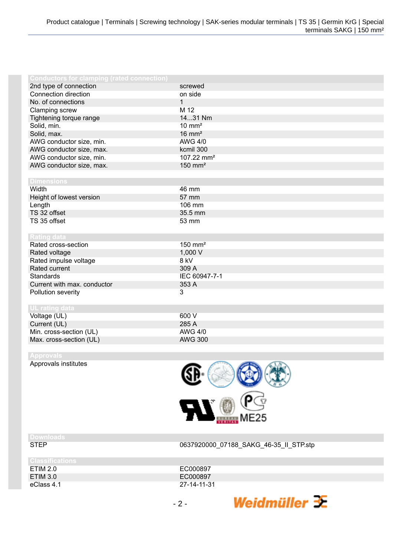| 2nd type of connection<br>screwed<br>Connection direction<br>on side<br>No. of connections<br>$\mathbf{1}$<br>M 12<br>Clamping screw<br>1431 Nm<br>Tightening torque range<br>Solid, min.<br>$10 \text{ mm}^2$<br>$16 \text{ mm}^2$<br>Solid, max.<br>AWG conductor size, min.<br><b>AWG 4/0</b><br>kcmil 300<br>AWG conductor size, max.<br>107.22 mm <sup>2</sup><br>AWG conductor size, min.<br>$150$ mm <sup>2</sup><br>AWG conductor size, max.<br><b>Dimensions</b><br>46 mm<br>Width<br>Height of lowest version<br>57 mm<br>106 mm<br>Length<br>TS 32 offset<br>35.5 mm<br>TS 35 offset<br>53 mm<br><b>Rating data</b><br>Rated cross-section<br>$150$ mm <sup>2</sup><br>1,000 V<br>Rated voltage<br>8 kV<br>Rated impulse voltage<br>Rated current<br>309 A<br>IEC 60947-7-1<br><b>Standards</b><br>Current with max. conductor<br>353 A<br>$\overline{3}$<br>Pollution severity<br>UL rating data<br>600 V<br>Voltage (UL)<br>Current (UL)<br>285 A<br>Min. cross-section (UL)<br><b>AWG 4/0</b><br>Max. cross-section (UL)<br><b>AWG 300</b> | <b>Conductors for clamping (rated connection)</b> |  |
|----------------------------------------------------------------------------------------------------------------------------------------------------------------------------------------------------------------------------------------------------------------------------------------------------------------------------------------------------------------------------------------------------------------------------------------------------------------------------------------------------------------------------------------------------------------------------------------------------------------------------------------------------------------------------------------------------------------------------------------------------------------------------------------------------------------------------------------------------------------------------------------------------------------------------------------------------------------------------------------------------------------------------------------------------------|---------------------------------------------------|--|
|                                                                                                                                                                                                                                                                                                                                                                                                                                                                                                                                                                                                                                                                                                                                                                                                                                                                                                                                                                                                                                                          |                                                   |  |
|                                                                                                                                                                                                                                                                                                                                                                                                                                                                                                                                                                                                                                                                                                                                                                                                                                                                                                                                                                                                                                                          |                                                   |  |
|                                                                                                                                                                                                                                                                                                                                                                                                                                                                                                                                                                                                                                                                                                                                                                                                                                                                                                                                                                                                                                                          |                                                   |  |
|                                                                                                                                                                                                                                                                                                                                                                                                                                                                                                                                                                                                                                                                                                                                                                                                                                                                                                                                                                                                                                                          |                                                   |  |
|                                                                                                                                                                                                                                                                                                                                                                                                                                                                                                                                                                                                                                                                                                                                                                                                                                                                                                                                                                                                                                                          |                                                   |  |
|                                                                                                                                                                                                                                                                                                                                                                                                                                                                                                                                                                                                                                                                                                                                                                                                                                                                                                                                                                                                                                                          |                                                   |  |
|                                                                                                                                                                                                                                                                                                                                                                                                                                                                                                                                                                                                                                                                                                                                                                                                                                                                                                                                                                                                                                                          |                                                   |  |
|                                                                                                                                                                                                                                                                                                                                                                                                                                                                                                                                                                                                                                                                                                                                                                                                                                                                                                                                                                                                                                                          |                                                   |  |
|                                                                                                                                                                                                                                                                                                                                                                                                                                                                                                                                                                                                                                                                                                                                                                                                                                                                                                                                                                                                                                                          |                                                   |  |
|                                                                                                                                                                                                                                                                                                                                                                                                                                                                                                                                                                                                                                                                                                                                                                                                                                                                                                                                                                                                                                                          |                                                   |  |
|                                                                                                                                                                                                                                                                                                                                                                                                                                                                                                                                                                                                                                                                                                                                                                                                                                                                                                                                                                                                                                                          |                                                   |  |
|                                                                                                                                                                                                                                                                                                                                                                                                                                                                                                                                                                                                                                                                                                                                                                                                                                                                                                                                                                                                                                                          |                                                   |  |
|                                                                                                                                                                                                                                                                                                                                                                                                                                                                                                                                                                                                                                                                                                                                                                                                                                                                                                                                                                                                                                                          |                                                   |  |
|                                                                                                                                                                                                                                                                                                                                                                                                                                                                                                                                                                                                                                                                                                                                                                                                                                                                                                                                                                                                                                                          |                                                   |  |
|                                                                                                                                                                                                                                                                                                                                                                                                                                                                                                                                                                                                                                                                                                                                                                                                                                                                                                                                                                                                                                                          |                                                   |  |
|                                                                                                                                                                                                                                                                                                                                                                                                                                                                                                                                                                                                                                                                                                                                                                                                                                                                                                                                                                                                                                                          |                                                   |  |
|                                                                                                                                                                                                                                                                                                                                                                                                                                                                                                                                                                                                                                                                                                                                                                                                                                                                                                                                                                                                                                                          |                                                   |  |
|                                                                                                                                                                                                                                                                                                                                                                                                                                                                                                                                                                                                                                                                                                                                                                                                                                                                                                                                                                                                                                                          |                                                   |  |
|                                                                                                                                                                                                                                                                                                                                                                                                                                                                                                                                                                                                                                                                                                                                                                                                                                                                                                                                                                                                                                                          |                                                   |  |
|                                                                                                                                                                                                                                                                                                                                                                                                                                                                                                                                                                                                                                                                                                                                                                                                                                                                                                                                                                                                                                                          |                                                   |  |
|                                                                                                                                                                                                                                                                                                                                                                                                                                                                                                                                                                                                                                                                                                                                                                                                                                                                                                                                                                                                                                                          |                                                   |  |
|                                                                                                                                                                                                                                                                                                                                                                                                                                                                                                                                                                                                                                                                                                                                                                                                                                                                                                                                                                                                                                                          |                                                   |  |
|                                                                                                                                                                                                                                                                                                                                                                                                                                                                                                                                                                                                                                                                                                                                                                                                                                                                                                                                                                                                                                                          |                                                   |  |
|                                                                                                                                                                                                                                                                                                                                                                                                                                                                                                                                                                                                                                                                                                                                                                                                                                                                                                                                                                                                                                                          |                                                   |  |
|                                                                                                                                                                                                                                                                                                                                                                                                                                                                                                                                                                                                                                                                                                                                                                                                                                                                                                                                                                                                                                                          |                                                   |  |
|                                                                                                                                                                                                                                                                                                                                                                                                                                                                                                                                                                                                                                                                                                                                                                                                                                                                                                                                                                                                                                                          |                                                   |  |
|                                                                                                                                                                                                                                                                                                                                                                                                                                                                                                                                                                                                                                                                                                                                                                                                                                                                                                                                                                                                                                                          |                                                   |  |
|                                                                                                                                                                                                                                                                                                                                                                                                                                                                                                                                                                                                                                                                                                                                                                                                                                                                                                                                                                                                                                                          |                                                   |  |
|                                                                                                                                                                                                                                                                                                                                                                                                                                                                                                                                                                                                                                                                                                                                                                                                                                                                                                                                                                                                                                                          |                                                   |  |
|                                                                                                                                                                                                                                                                                                                                                                                                                                                                                                                                                                                                                                                                                                                                                                                                                                                                                                                                                                                                                                                          |                                                   |  |
|                                                                                                                                                                                                                                                                                                                                                                                                                                                                                                                                                                                                                                                                                                                                                                                                                                                                                                                                                                                                                                                          |                                                   |  |
|                                                                                                                                                                                                                                                                                                                                                                                                                                                                                                                                                                                                                                                                                                                                                                                                                                                                                                                                                                                                                                                          |                                                   |  |
|                                                                                                                                                                                                                                                                                                                                                                                                                                                                                                                                                                                                                                                                                                                                                                                                                                                                                                                                                                                                                                                          |                                                   |  |

Approvals institutes



0637920000\_07188\_SAKG\_46-35\_II\_STP.stp

Weidmüller  $\mathbf{\mathbf{\mathbf{\mathbb{K}}}}$ 

## **Downloads**

**Classifications**

| $\sim$ 1000 11000 000 |             |
|-----------------------|-------------|
| <b>ETIM 2.0</b>       | EC000897    |
| <b>ETIM 3.0</b>       | EC000897    |
| eClass 4.1            | 27-14-11-31 |
|                       |             |